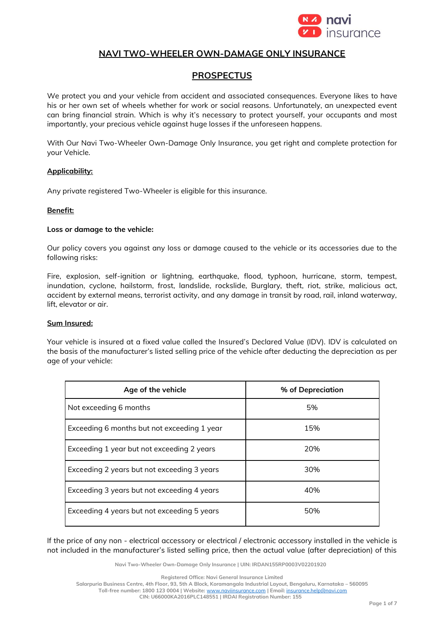

# **NAVI TWO-WHEELER OWN-DAMAGE ONLY INSURANCE**

# **PROSPECTUS**

We protect you and your vehicle from accident and associated consequences. Everyone likes to have his or her own set of wheels whether for work or social reasons. Unfortunately, an unexpected event can bring financial strain. Which is why it's necessary to protect yourself, your occupants and most importantly, your precious vehicle against huge losses if the unforeseen happens.

With Our Navi Two-Wheeler Own-Damage Only Insurance, you get right and complete protection for your Vehicle.

#### **Applicability:**

Any private registered Two-Wheeler is eligible for this insurance.

#### **Benefit:**

#### **Loss or damage to the vehicle:**

Our policy covers you against any loss or damage caused to the vehicle or its accessories due to the following risks:

Fire, explosion, self-ignition or lightning, earthquake, flood, typhoon, hurricane, storm, tempest, inundation, cyclone, hailstorm, frost, landslide, rockslide, Burglary, theft, riot, strike, malicious act, accident by external means, terrorist activity, and any damage in transit by road, rail, inland waterway, lift, elevator or air.

### **Sum Insured:**

Your vehicle is insured at a fixed value called the Insured's Declared Value (IDV). IDV is calculated on the basis of the manufacturer's listed selling price of the vehicle after deducting the depreciation as per age of your vehicle:

| Age of the vehicle                          | % of Depreciation |
|---------------------------------------------|-------------------|
| Not exceeding 6 months                      | 5%                |
| Exceeding 6 months but not exceeding 1 year | 15%               |
| Exceeding 1 year but not exceeding 2 years  | 20%               |
| Exceeding 2 years but not exceeding 3 years | 30%               |
| Exceeding 3 years but not exceeding 4 years | 40%               |
| Exceeding 4 years but not exceeding 5 years | 50%               |

If the price of any non - electrical accessory or electrical / electronic accessory installed in the vehicle is not included in the manufacturer's listed selling price, then the actual value (after depreciation) of this

**Navi Two-Wheeler Own-Damage Only Insurance | UIN: IRDAN155RP0003V02201920**

**Registered Office: Navi General Insurance Limited**

**Salarpuria Business Centre, 4th Floor, 93, 5th A Block, Koramangala Industrial Layout, Bengaluru, Karnataka – 560095 Toll-free number: 1800 123 0004 | Website:** [www.naviinsurance.com](http://www.naviinsurance.com/) **| Email:** [insurance.help@navi.com](mailto:insurance.help@navi.com)

**CIN: U66000KA2016PLC148551 | IRDAI Registration Number: 155**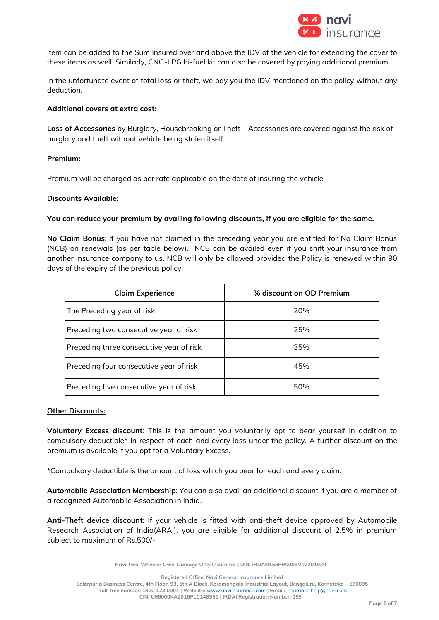

item can be added to the Sum Insured over and above the IDV of the vehicle for extending the cover to these items as well. Similarly, CNG-LPG bi-fuel kit can also be covered by paying additional premium.

In the unfortunate event of total loss or theft, we pay you the IDV mentioned on the policy without any deduction.

### **Additional covers at extra cost:**

**Loss of Accessories** by Burglary, Housebreaking or Theft – Accessories are covered against the risk of burglary and theft without vehicle being stolen itself.

#### **Premium:**

Premium will be charged as per rate applicable on the date of insuring the vehicle.

#### **Discounts Available:**

#### **You can reduce your premium by availing following discounts, if you are eligible for the same.**

**No Claim Bonus**: If you have not claimed in the preceding year you are entitled for No Claim Bonus (NCB) on renewals (as per table below). NCB can be availed even if you shift your insurance from another insurance company to us. NCB will only be allowed provided the Policy is renewed within 90 days of the expiry of the previous policy.

| <b>Claim Experience</b>                  | % discount on OD Premium |
|------------------------------------------|--------------------------|
| The Preceding year of risk               | 20%                      |
| Preceding two consecutive year of risk   | 25%                      |
| Preceding three consecutive year of risk | 35%                      |
| Preceding four consecutive year of risk  | 45%                      |
| Preceding five consecutive year of risk  | 50%                      |

#### **Other Discounts:**

**Voluntary Excess discount**: This is the amount you voluntarily opt to bear yourself in addition to compulsory deductible\* in respect of each and every loss under the policy. A further discount on the premium is available if you opt for a Voluntary Excess.

\*Compulsory deductible is the amount of loss which you bear for each and every claim.

**Automobile Association Membership**: You can also avail an additional discount if you are a member of a recognized Automobile Association in India.

**Anti-Theft device discount**: If your vehicle is fitted with anti-theft device approved by Automobile Research Association of India(ARAI), you are eligible for additional discount of 2.5% in premium subject to maximum of Rs.500/-

**Navi Two-Wheeler Own-Damage Only Insurance | UIN: IRDAN155RP0003V02201920**

**Registered Office: Navi General Insurance Limited**

**Salarpuria Business Centre, 4th Floor, 93, 5th A Block, Koramangala Industrial Layout, Bengaluru, Karnataka – 560095 Toll-free number: 1800 123 0004 | Website:** [www.naviinsurance.com](http://www.naviinsurance.com/) **| Email:** [insurance.help@navi.com](mailto:insurance.help@navi.com) **CIN: U66000KA2016PLC148551 | IRDAI Registration Number: 155**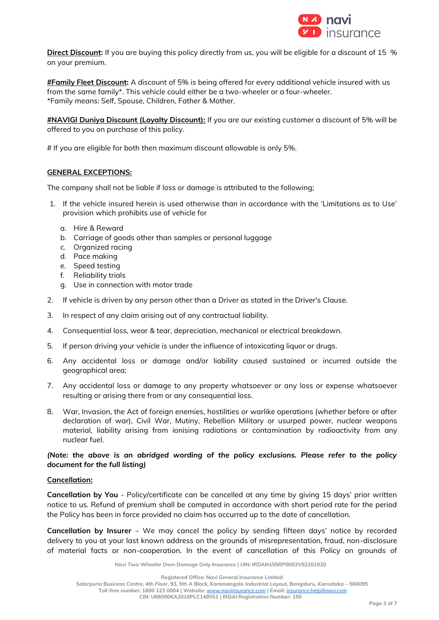

**Direct Discount:** If you are buying this policy directly from us, you will be eligible for a discount of 15 % on your premium.

**#Family Fleet Discount:** A discount of 5% is being offered for every additional vehicle insured with us from the same family\*. This vehicle could either be a two-wheeler or a four-wheeler. \*Family means: Self, Spouse, Children, Father & Mother.

**#NAVIGI Duniya Discount (Loyalty Discount):** If you are our existing customer a discount of 5% will be offered to you on purchase of this policy.

# If you are eligible for both then maximum discount allowable is only 5%.

### **GENERAL EXCEPTIONS:**

The company shall not be liable if loss or damage is attributed to the following;

- 1. If the vehicle insured herein is used otherwise than in accordance with the 'Limitations as to Use' provision which prohibits use of vehicle for
	- a. Hire & Reward
	- b. Carriage of goods other than samples or personal luggage
	- c. Organized racing
	- d. Pace making
	- e. Speed testing
	- f. Reliability trials
	- g. Use in connection with motor trade
- 2. If vehicle is driven by any person other than a Driver as stated in the Driver's Clause.
- 3. In respect of any claim arising out of any contractual liability.
- 4. Consequential loss, wear & tear, depreciation, mechanical or electrical breakdown.
- 5. If person driving your vehicle is under the influence of intoxicating liquor or drugs.
- 6. Any accidental loss or damage and/or liability caused sustained or incurred outside the geographical area;
- 7. Any accidental loss or damage to any property whatsoever or any loss or expense whatsoever resulting or arising there from or any consequential loss.
- 8. War, Invasion, the Act of foreign enemies, hostilities or warlike operations (whether before or after declaration of war), Civil War, Mutiny, Rebellion Military or usurped power, nuclear weapons material, liability arising from ionising radiations or contamination by radioactivity from any nuclear fuel.

## *(Note: the above is an abridged wording of the policy exclusions. Please refer to the policy document for the full listing)*

### **Cancellation:**

**Cancellation by You** - Policy/certificate can be cancelled at any time by giving 15 days' prior written notice to us. Refund of premium shall be computed in accordance with short period rate for the period the Policy has been in force provided no claim has occurred up to the date of cancellation.

**Cancellation by Insurer** – We may cancel the policy by sending fifteen days' notice by recorded delivery to you at your last known address on the grounds of misrepresentation, fraud, non-disclosure of material facts or non-cooperation. In the event of cancellation of this Policy on grounds of

**Navi Two-Wheeler Own-Damage Only Insurance | UIN: IRDAN155RP0003V02201920**

**Registered Office: Navi General Insurance Limited**

**Salarpuria Business Centre, 4th Floor, 93, 5th A Block, Koramangala Industrial Layout, Bengaluru, Karnataka – 560095 Toll-free number: 1800 123 0004 | Website:** [www.naviinsurance.com](http://www.naviinsurance.com/) **| Email:** [insurance.help@navi.com](mailto:insurance.help@navi.com)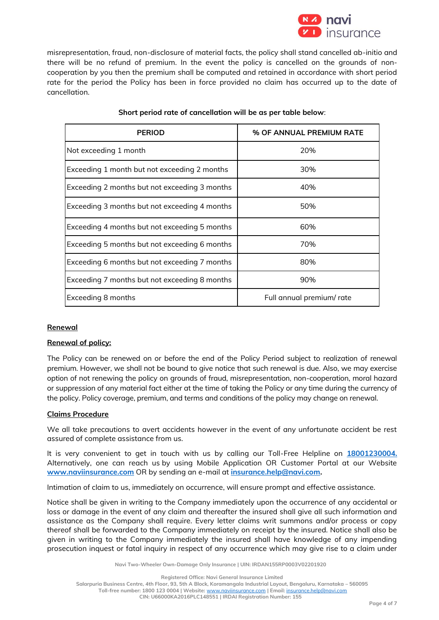

misrepresentation, fraud, non-disclosure of material facts, the policy shall stand cancelled ab-initio and there will be no refund of premium. In the event the policy is cancelled on the grounds of noncooperation by you then the premium shall be computed and retained in accordance with short period rate for the period the Policy has been in force provided no claim has occurred up to the date of cancellation.

| <b>PERIOD</b>                                 | % OF ANNUAL PREMIUM RATE |
|-----------------------------------------------|--------------------------|
| Not exceeding 1 month                         | 20%                      |
| Exceeding 1 month but not exceeding 2 months  | 30%                      |
| Exceeding 2 months but not exceeding 3 months | 40%                      |
| Exceeding 3 months but not exceeding 4 months | 50%                      |
| Exceeding 4 months but not exceeding 5 months | 60%                      |
| Exceeding 5 months but not exceeding 6 months | 70%                      |
| Exceeding 6 months but not exceeding 7 months | 80%                      |
| Exceeding 7 months but not exceeding 8 months | 90%                      |
| Exceeding 8 months                            | Full annual premium/rate |

## **Short period rate of cancellation will be as per table below**:

### **Renewal**

### **Renewal of policy:**

The Policy can be renewed on or before the end of the Policy Period subject to realization of renewal premium. However, we shall not be bound to give notice that such renewal is due. Also, we may exercise option of not renewing the policy on grounds of fraud, misrepresentation, non-cooperation, moral hazard or suppression of any material fact either at the time of taking the Policy or any time during the currency of the policy. Policy coverage, premium, and terms and conditions of the policy may change on renewal.

### **Claims Procedure**

We all take precautions to avert accidents however in the event of any unfortunate accident be rest assured of complete assistance from us.

It is very convenient to get in touch with us by calling our Toll-Free Helpline on **18001230004.** Alternatively, one can reach us by using Mobile Application OR Customer Portal at our Website **[www.naviinsurance.com](http://www.naviinsurance.com/)** OR by sending an e-mail at **[insurance.help@navi.com.](mailto:insurance.help@navi.com)** 

Intimation of claim to us, immediately on occurrence, will ensure prompt and effective assistance.

Notice shall be given in writing to the Company immediately upon the occurrence of any accidental or loss or damage in the event of any claim and thereafter the insured shall give all such information and assistance as the Company shall require. Every letter claims writ summons and/or process or copy thereof shall be forwarded to the Company immediately on receipt by the insured. Notice shall also be given in writing to the Company immediately the insured shall have knowledge of any impending prosecution inquest or fatal inquiry in respect of any occurrence which may give rise to a claim under

**Navi Two-Wheeler Own-Damage Only Insurance | UIN: IRDAN155RP0003V02201920**

**Registered Office: Navi General Insurance Limited**

**Salarpuria Business Centre, 4th Floor, 93, 5th A Block, Koramangala Industrial Layout, Bengaluru, Karnataka – 560095 Toll-free number: 1800 123 0004 | Website:** [www.naviinsurance.com](http://www.naviinsurance.com/) **| Email:** [insurance.help@navi.com](mailto:insurance.help@navi.com)

**CIN: U66000KA2016PLC148551 | IRDAI Registration Number: 155**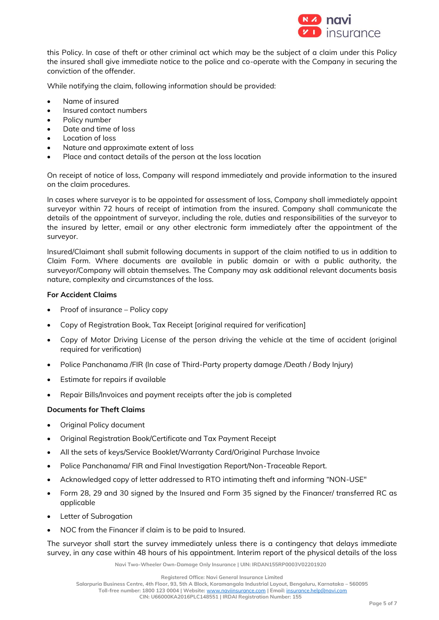

this Policy. In case of theft or other criminal act which may be the subject of a claim under this Policy the insured shall give immediate notice to the police and co-operate with the Company in securing the conviction of the offender.

While notifying the claim, following information should be provided:

- Name of insured
- Insured contact numbers
- Policy number
- Date and time of loss
- Location of loss
- Nature and approximate extent of loss
- Place and contact details of the person at the loss location

On receipt of notice of loss, Company will respond immediately and provide information to the insured on the claim procedures.

In cases where surveyor is to be appointed for assessment of loss, Company shall immediately appoint surveyor within 72 hours of receipt of intimation from the insured. Company shall communicate the details of the appointment of surveyor, including the role, duties and responsibilities of the surveyor to the insured by letter, email or any other electronic form immediately after the appointment of the surveyor.

Insured/Claimant shall submit following documents in support of the claim notified to us in addition to Claim Form. Where documents are available in public domain or with a public authority, the surveyor/Company will obtain themselves. The Company may ask additional relevant documents basis nature, complexity and circumstances of the loss.

### **For Accident Claims**

- Proof of insurance Policy copy
- Copy of Registration Book, Tax Receipt [original required for verification]
- Copy of Motor Driving License of the person driving the vehicle at the time of accident (original required for verification)
- Police Panchanama /FIR (In case of Third-Party property damage /Death / Body Injury)
- Estimate for repairs if available
- Repair Bills/Invoices and payment receipts after the job is completed

## **Documents for Theft Claims**

- Original Policy document
- Original Registration Book/Certificate and Tax Payment Receipt
- All the sets of keys/Service Booklet/Warranty Card/Original Purchase Invoice
- Police Panchanama/ FIR and Final Investigation Report/Non-Traceable Report.
- Acknowledged copy of letter addressed to RTO intimating theft and informing "NON-USE"
- Form 28, 29 and 30 signed by the Insured and Form 35 signed by the Financer/ transferred RC as applicable
- Letter of Subrogation
- NOC from the Financer if claim is to be paid to Insured.

The surveyor shall start the survey immediately unless there is a contingency that delays immediate survey, in any case within 48 hours of his appointment. Interim report of the physical details of the loss

**Navi Two-Wheeler Own-Damage Only Insurance | UIN: IRDAN155RP0003V02201920**

**Registered Office: Navi General Insurance Limited**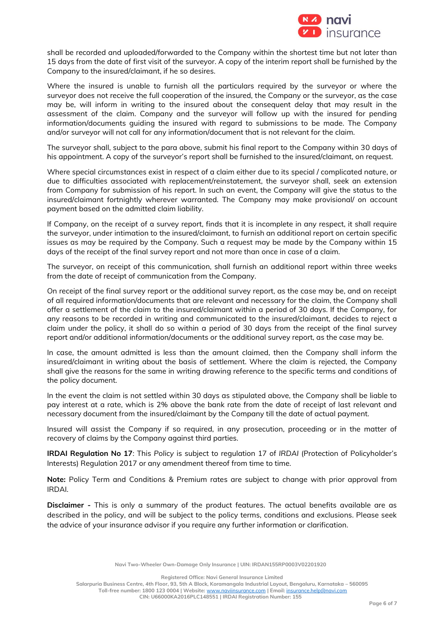

shall be recorded and uploaded/forwarded to the Company within the shortest time but not later than 15 days from the date of first visit of the surveyor. A copy of the interim report shall be furnished by the Company to the insured/claimant, if he so desires.

Where the insured is unable to furnish all the particulars required by the surveyor or where the surveyor does not receive the full cooperation of the insured, the Company or the surveyor, as the case may be, will inform in writing to the insured about the consequent delay that may result in the assessment of the claim. Company and the surveyor will follow up with the insured for pending information/documents guiding the insured with regard to submissions to be made. The Company and/or surveyor will not call for any information/document that is not relevant for the claim.

The surveyor shall, subject to the para above, submit his final report to the Company within 30 days of his appointment. A copy of the surveyor's report shall be furnished to the insured/claimant, on request.

Where special circumstances exist in respect of a claim either due to its special / complicated nature, or due to difficulties associated with replacement/reinstatement, the surveyor shall, seek an extension from Company for submission of his report. In such an event, the Company will give the status to the insured/claimant fortnightly wherever warranted. The Company may make provisional/ on account payment based on the admitted claim liability.

If Company, on the receipt of a survey report, finds that it is incomplete in any respect, it shall require the surveyor, under intimation to the insured/claimant, to furnish an additional report on certain specific issues as may be required by the Company. Such a request may be made by the Company within 15 days of the receipt of the final survey report and not more than once in case of a claim.

The surveyor, on receipt of this communication, shall furnish an additional report within three weeks from the date of receipt of communication from the Company.

On receipt of the final survey report or the additional survey report, as the case may be, and on receipt of all required information/documents that are relevant and necessary for the claim, the Company shall offer a settlement of the claim to the insured/claimant within a period of 30 days. If the Company, for any reasons to be recorded in writing and communicated to the insured/claimant, decides to reject a claim under the policy, it shall do so within a period of 30 days from the receipt of the final survey report and/or additional information/documents or the additional survey report, as the case may be.

In case, the amount admitted is less than the amount claimed, then the Company shall inform the insured/claimant in writing about the basis of settlement. Where the claim is rejected, the Company shall give the reasons for the same in writing drawing reference to the specific terms and conditions of the policy document.

In the event the claim is not settled within 30 days as stipulated above, the Company shall be liable to pay interest at a rate, which is 2% above the bank rate from the date of receipt of last relevant and necessary document from the insured/claimant by the Company till the date of actual payment.

Insured will assist the Company if so required, in any prosecution, proceeding or in the matter of recovery of claims by the Company against third parties.

**IRDAI Regulation No 17**: This *Policy* is subject to regulation 17 of *IRDAI* (Protection of Policyholder's Interests) Regulation 2017 or any amendment thereof from time to time.

**Note:** Policy Term and Conditions & Premium rates are subject to change with prior approval from IRDAI.

**Disclaimer -** This is only a summary of the product features. The actual benefits available are as described in the policy, and will be subject to the policy terms, conditions and exclusions. Please seek the advice of your insurance advisor if you require any further information or clarification.

**Navi Two-Wheeler Own-Damage Only Insurance | UIN: IRDAN155RP0003V02201920**

**Registered Office: Navi General Insurance Limited**

**Salarpuria Business Centre, 4th Floor, 93, 5th A Block, Koramangala Industrial Layout, Bengaluru, Karnataka – 560095 Toll-free number: 1800 123 0004 | Website:** [www.naviinsurance.com](http://www.naviinsurance.com/) **| Email:** [insurance.help@navi.com](mailto:insurance.help@navi.com) **CIN: U66000KA2016PLC148551 | IRDAI Registration Number: 155**